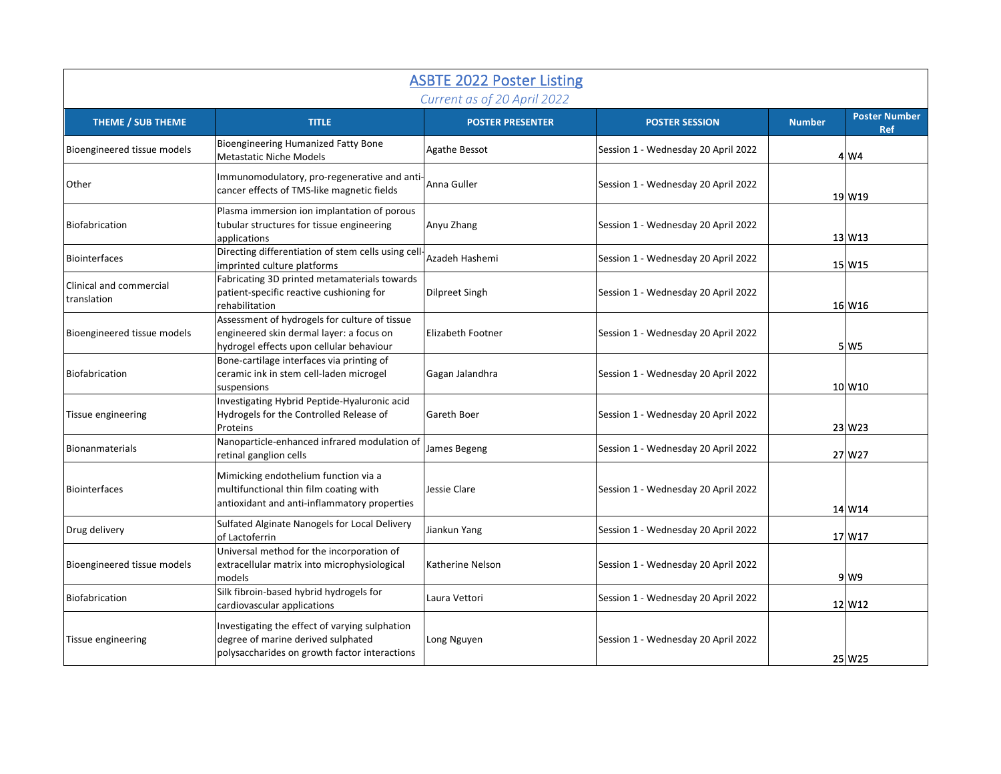| <b>ASBTE 2022 Poster Listing</b><br>Current as of 20 April 2022 |                                                                                                                                       |                         |                                     |               |                                    |
|-----------------------------------------------------------------|---------------------------------------------------------------------------------------------------------------------------------------|-------------------------|-------------------------------------|---------------|------------------------------------|
| THEME / SUB THEME                                               | <b>TITLE</b>                                                                                                                          | <b>POSTER PRESENTER</b> | <b>POSTER SESSION</b>               | <b>Number</b> | <b>Poster Number</b><br><b>Ref</b> |
| Bioengineered tissue models                                     | Bioengineering Humanized Fatty Bone<br><b>Metastatic Niche Models</b>                                                                 | Agathe Bessot           | Session 1 - Wednesday 20 April 2022 |               | 4 W4                               |
| Other                                                           | Immunomodulatory, pro-regenerative and anti<br>cancer effects of TMS-like magnetic fields                                             | Anna Guller             | Session 1 - Wednesday 20 April 2022 |               | 19 W19                             |
| Biofabrication                                                  | Plasma immersion ion implantation of porous<br>tubular structures for tissue engineering<br>applications                              | Anyu Zhang              | Session 1 - Wednesday 20 April 2022 |               | $13$ W <sub>13</sub>               |
| <b>Biointerfaces</b>                                            | Directing differentiation of stem cells using cell-<br>imprinted culture platforms                                                    | Azadeh Hashemi          | Session 1 - Wednesday 20 April 2022 |               | 15 W15                             |
| Clinical and commercial<br>translation                          | Fabricating 3D printed metamaterials towards<br>patient-specific reactive cushioning for<br>rehabilitation                            | <b>Dilpreet Singh</b>   | Session 1 - Wednesday 20 April 2022 |               | 16 W16                             |
| Bioengineered tissue models                                     | Assessment of hydrogels for culture of tissue<br>engineered skin dermal layer: a focus on<br>hydrogel effects upon cellular behaviour | Elizabeth Footner       | Session 1 - Wednesday 20 April 2022 |               | 5 W <sub>5</sub>                   |
| Biofabrication                                                  | Bone-cartilage interfaces via printing of<br>ceramic ink in stem cell-laden microgel<br>suspensions                                   | Gagan Jalandhra         | Session 1 - Wednesday 20 April 2022 |               | 10 W10                             |
| Tissue engineering                                              | Investigating Hybrid Peptide-Hyaluronic acid<br>Hydrogels for the Controlled Release of<br>Proteins                                   | Gareth Boer             | Session 1 - Wednesday 20 April 2022 |               | 23 W23                             |
| <b>Bionanmaterials</b>                                          | Nanoparticle-enhanced infrared modulation of<br>retinal ganglion cells                                                                | James Begeng            | Session 1 - Wednesday 20 April 2022 |               | 27 W27                             |
| <b>Biointerfaces</b>                                            | Mimicking endothelium function via a<br>multifunctional thin film coating with<br>antioxidant and anti-inflammatory properties        | Jessie Clare            | Session 1 - Wednesday 20 April 2022 |               | 14 W14                             |
| Drug delivery                                                   | Sulfated Alginate Nanogels for Local Delivery<br>of Lactoferrin                                                                       | Jiankun Yang            | Session 1 - Wednesday 20 April 2022 |               | 17 W17                             |
| Bioengineered tissue models                                     | Universal method for the incorporation of<br>extracellular matrix into microphysiological<br>models                                   | Katherine Nelson        | Session 1 - Wednesday 20 April 2022 |               | 9 W9                               |
| Biofabrication                                                  | Silk fibroin-based hybrid hydrogels for<br>cardiovascular applications                                                                | Laura Vettori           | Session 1 - Wednesday 20 April 2022 |               | 12 W12                             |
| Tissue engineering                                              | Investigating the effect of varying sulphation<br>degree of marine derived sulphated<br>polysaccharides on growth factor interactions | Long Nguyen             | Session 1 - Wednesday 20 April 2022 |               | 25 W25                             |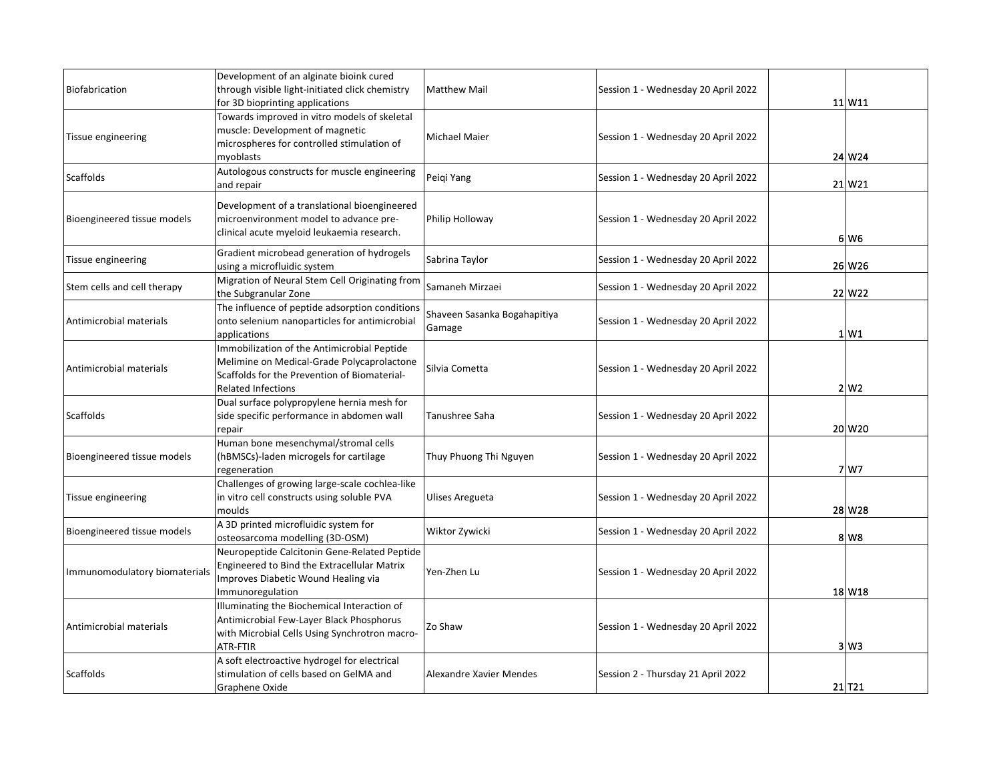| Biofabrication                | Development of an alginate bioink cured<br>through visible light-initiated click chemistry<br>for 3D bioprinting applications                                          | <b>Matthew Mail</b>                    | Session 1 - Wednesday 20 April 2022 | 11 W 11          |
|-------------------------------|------------------------------------------------------------------------------------------------------------------------------------------------------------------------|----------------------------------------|-------------------------------------|------------------|
| Tissue engineering            | Towards improved in vitro models of skeletal<br>muscle: Development of magnetic<br>microspheres for controlled stimulation of<br>myoblasts                             | Michael Maier                          | Session 1 - Wednesday 20 April 2022 | 24 W 24          |
| <b>Scaffolds</b>              | Autologous constructs for muscle engineering<br>and repair                                                                                                             | Peigi Yang                             | Session 1 - Wednesday 20 April 2022 | 21 W 21          |
| Bioengineered tissue models   | Development of a translational bioengineered<br>microenvironment model to advance pre-<br>clinical acute myeloid leukaemia research.                                   | Philip Holloway                        | Session 1 - Wednesday 20 April 2022 | 6 W <sub>6</sub> |
| Tissue engineering            | Gradient microbead generation of hydrogels<br>using a microfluidic system                                                                                              | Sabrina Taylor                         | Session 1 - Wednesday 20 April 2022 | 26 W26           |
| Stem cells and cell therapy   | Migration of Neural Stem Cell Originating from<br>the Subgranular Zone                                                                                                 | Samaneh Mirzaei                        | Session 1 - Wednesday 20 April 2022 | 22 W22           |
| Antimicrobial materials       | The influence of peptide adsorption conditions<br>onto selenium nanoparticles for antimicrobial<br>applications                                                        | Shaveen Sasanka Bogahapitiya<br>Gamage | Session 1 - Wednesday 20 April 2022 | $1 \mid W1$      |
| Antimicrobial materials       | Immobilization of the Antimicrobial Peptide<br>Melimine on Medical-Grade Polycaprolactone<br>Scaffolds for the Prevention of Biomaterial-<br><b>Related Infections</b> | Silvia Cometta                         | Session 1 - Wednesday 20 April 2022 | $2\vert W2$      |
| <b>Scaffolds</b>              | Dual surface polypropylene hernia mesh for<br>side specific performance in abdomen wall<br>repair                                                                      | Tanushree Saha                         | Session 1 - Wednesday 20 April 2022 | 20 W 20          |
| Bioengineered tissue models   | Human bone mesenchymal/stromal cells<br>(hBMSCs)-laden microgels for cartilage<br>regeneration                                                                         | Thuy Phuong Thi Nguyen                 | Session 1 - Wednesday 20 April 2022 | 7 W7             |
| Tissue engineering            | Challenges of growing large-scale cochlea-like<br>in vitro cell constructs using soluble PVA<br>moulds                                                                 | <b>Ulises Aregueta</b>                 | Session 1 - Wednesday 20 April 2022 | 28 W 28          |
| Bioengineered tissue models   | A 3D printed microfluidic system for<br>osteosarcoma modelling (3D-OSM)                                                                                                | Wiktor Zywicki                         | Session 1 - Wednesday 20 April 2022 | 8 W <sub>8</sub> |
| Immunomodulatory biomaterials | Neuropeptide Calcitonin Gene-Related Peptide<br>Engineered to Bind the Extracellular Matrix<br>Improves Diabetic Wound Healing via<br>Immunoregulation                 | Yen-Zhen Lu                            | Session 1 - Wednesday 20 April 2022 | 18 W18           |
| Antimicrobial materials       | Illuminating the Biochemical Interaction of<br>Antimicrobial Few-Layer Black Phosphorus<br>with Microbial Cells Using Synchrotron macro-<br>ATR-FTIR                   | Zo Shaw                                | Session 1 - Wednesday 20 April 2022 | 3 W3             |
| Scaffolds                     | A soft electroactive hydrogel for electrical<br>stimulation of cells based on GelMA and<br>Graphene Oxide                                                              | Alexandre Xavier Mendes                | Session 2 - Thursday 21 April 2022  | 21 T21           |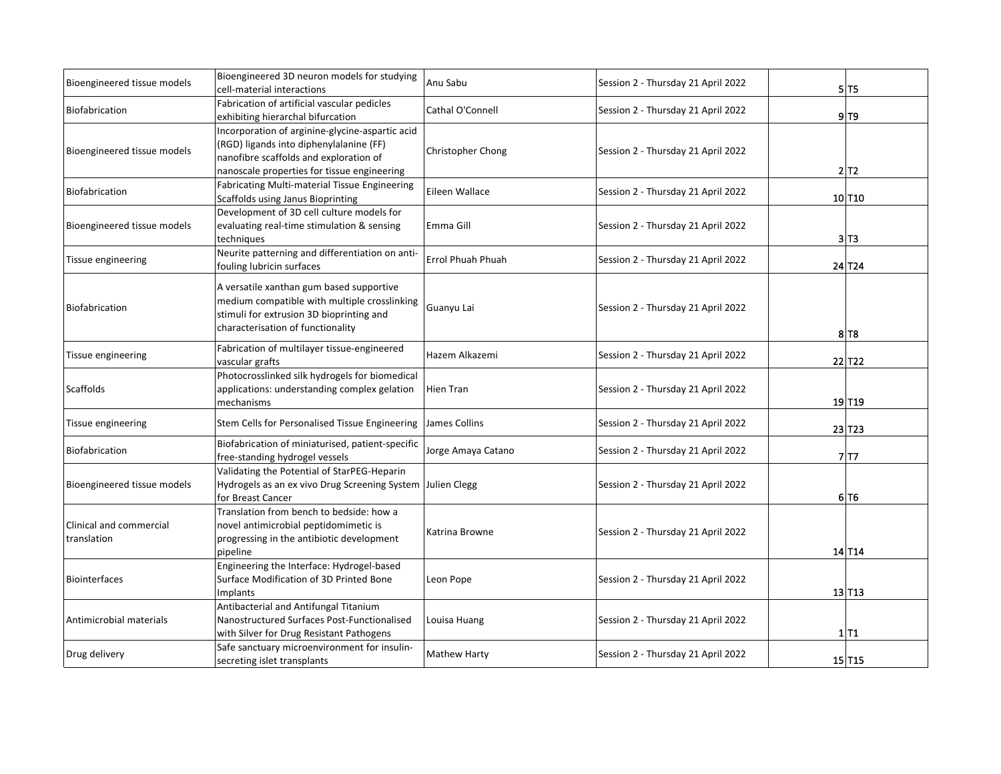| Bioengineered tissue models            | Bioengineered 3D neuron models for studying<br>cell-material interactions                                                                                                           | Anu Sabu            | Session 2 - Thursday 21 April 2022 | 5 T 5                |
|----------------------------------------|-------------------------------------------------------------------------------------------------------------------------------------------------------------------------------------|---------------------|------------------------------------|----------------------|
| Biofabrication                         | Fabrication of artificial vascular pedicles<br>exhibiting hierarchal bifurcation                                                                                                    | Cathal O'Connell    | Session 2 - Thursday 21 April 2022 | $9$ T $9$            |
| Bioengineered tissue models            | Incorporation of arginine-glycine-aspartic acid<br>(RGD) ligands into diphenylalanine (FF)<br>nanofibre scaffolds and exploration of<br>nanoscale properties for tissue engineering | Christopher Chong   | Session 2 - Thursday 21 April 2022 | 2 T2                 |
| Biofabrication                         | Fabricating Multi-material Tissue Engineering<br>Scaffolds using Janus Bioprinting                                                                                                  | Eileen Wallace      | Session 2 - Thursday 21 April 2022 | 10 T10               |
| Bioengineered tissue models            | Development of 3D cell culture models for<br>evaluating real-time stimulation & sensing<br>techniques                                                                               | Emma Gill           | Session 2 - Thursday 21 April 2022 | 3 T3                 |
| Tissue engineering                     | Neurite patterning and differentiation on anti-<br>fouling lubricin surfaces                                                                                                        | Errol Phuah Phuah   | Session 2 - Thursday 21 April 2022 | 24 T <sub>24</sub>   |
| Biofabrication                         | A versatile xanthan gum based supportive<br>medium compatible with multiple crosslinking<br>stimuli for extrusion 3D bioprinting and<br>characterisation of functionality           | Guanyu Lai          | Session 2 - Thursday 21 April 2022 | 8 T8                 |
| Tissue engineering                     | Fabrication of multilayer tissue-engineered<br>vascular grafts                                                                                                                      | Hazem Alkazemi      | Session 2 - Thursday 21 April 2022 | 22 T <sub>22</sub>   |
| Scaffolds                              | Photocrosslinked silk hydrogels for biomedical<br>applications: understanding complex gelation<br>mechanisms                                                                        | <b>Hien Tran</b>    | Session 2 - Thursday 21 April 2022 | 19 T19               |
| Tissue engineering                     | Stem Cells for Personalised Tissue Engineering                                                                                                                                      | James Collins       | Session 2 - Thursday 21 April 2022 | $23$ T <sub>23</sub> |
| Biofabrication                         | Biofabrication of miniaturised, patient-specific<br>free-standing hydrogel vessels                                                                                                  | Jorge Amaya Catano  | Session 2 - Thursday 21 April 2022 | 7 T7                 |
| Bioengineered tissue models            | Validating the Potential of StarPEG-Heparin<br>Hydrogels as an ex vivo Drug Screening System Julien Clegg<br>for Breast Cancer                                                      |                     | Session 2 - Thursday 21 April 2022 | 6 T <sub>6</sub>     |
| Clinical and commercial<br>translation | Translation from bench to bedside: how a<br>novel antimicrobial peptidomimetic is<br>progressing in the antibiotic development<br>pipeline                                          | Katrina Browne      | Session 2 - Thursday 21 April 2022 | 14 T14               |
| <b>Biointerfaces</b>                   | Engineering the Interface: Hydrogel-based<br>Surface Modification of 3D Printed Bone<br>Implants                                                                                    | Leon Pope           | Session 2 - Thursday 21 April 2022 | $13$ T <sub>13</sub> |
| Antimicrobial materials                | Antibacterial and Antifungal Titanium<br>Nanostructured Surfaces Post-Functionalised<br>with Silver for Drug Resistant Pathogens                                                    | Louisa Huang        | Session 2 - Thursday 21 April 2022 | $1$ T <sub>1</sub>   |
| Drug delivery                          | Safe sanctuary microenvironment for insulin-<br>secreting islet transplants                                                                                                         | <b>Mathew Harty</b> | Session 2 - Thursday 21 April 2022 | $15$ T <sub>15</sub> |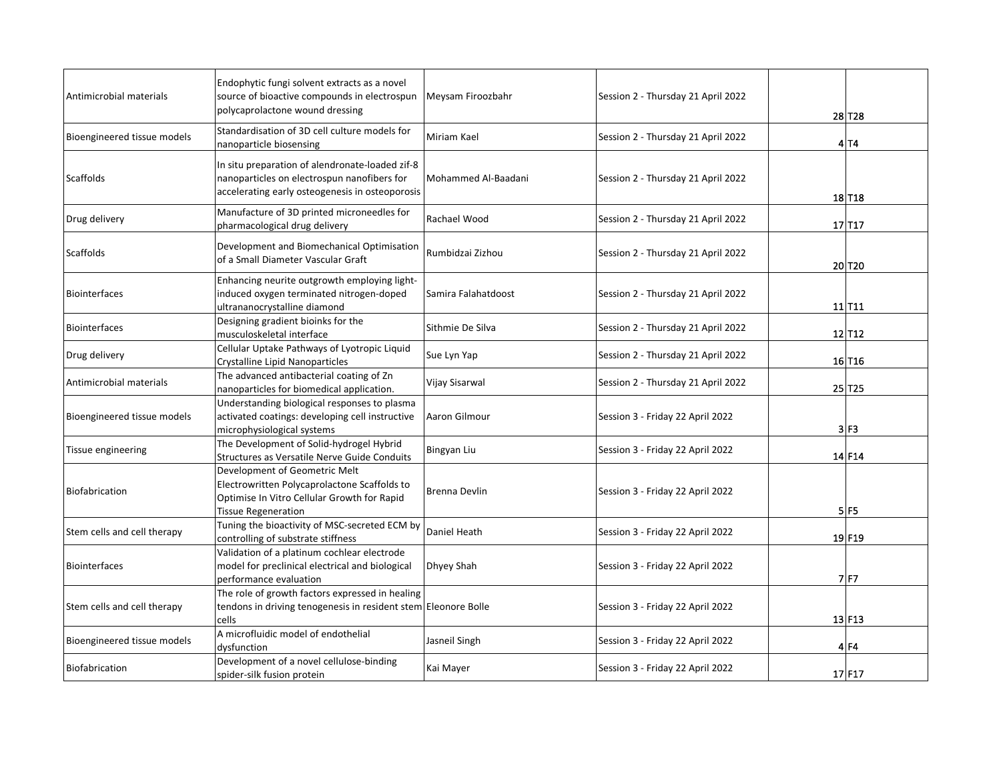| Antimicrobial materials     | Endophytic fungi solvent extracts as a novel<br>source of bioactive compounds in electrospun<br>polycaprolactone wound dressing                            | Meysam Firoozbahr   | Session 2 - Thursday 21 April 2022 | 28 T28             |
|-----------------------------|------------------------------------------------------------------------------------------------------------------------------------------------------------|---------------------|------------------------------------|--------------------|
| Bioengineered tissue models | Standardisation of 3D cell culture models for<br>nanoparticle biosensing                                                                                   | Miriam Kael         | Session 2 - Thursday 21 April 2022 | 4 T4               |
| Scaffolds                   | In situ preparation of alendronate-loaded zif-8<br>nanoparticles on electrospun nanofibers for<br>accelerating early osteogenesis in osteoporosis          | Mohammed Al-Baadani | Session 2 - Thursday 21 April 2022 | 18 T18             |
| Drug delivery               | Manufacture of 3D printed microneedles for<br>pharmacological drug delivery                                                                                | Rachael Wood        | Session 2 - Thursday 21 April 2022 | 17 T17             |
| <b>Scaffolds</b>            | Development and Biomechanical Optimisation<br>of a Small Diameter Vascular Graft                                                                           | Rumbidzai Zizhou    | Session 2 - Thursday 21 April 2022 | 20 T <sub>20</sub> |
| <b>Biointerfaces</b>        | Enhancing neurite outgrowth employing light-<br>induced oxygen terminated nitrogen-doped<br>ultrananocrystalline diamond                                   | Samira Falahatdoost | Session 2 - Thursday 21 April 2022 | 11 T11             |
| <b>Biointerfaces</b>        | Designing gradient bioinks for the<br>musculoskeletal interface                                                                                            | Sithmie De Silva    | Session 2 - Thursday 21 April 2022 | 12 T12             |
| Drug delivery               | Cellular Uptake Pathways of Lyotropic Liquid<br>Crystalline Lipid Nanoparticles                                                                            | Sue Lyn Yap         | Session 2 - Thursday 21 April 2022 | 16 T <sub>16</sub> |
| Antimicrobial materials     | The advanced antibacterial coating of Zn<br>nanoparticles for biomedical application.                                                                      | Vijay Sisarwal      | Session 2 - Thursday 21 April 2022 | 25 T <sub>25</sub> |
| Bioengineered tissue models | Understanding biological responses to plasma<br>activated coatings: developing cell instructive<br>microphysiological systems                              | Aaron Gilmour       | Session 3 - Friday 22 April 2022   | 3 F 3              |
| Tissue engineering          | The Development of Solid-hydrogel Hybrid<br>Structures as Versatile Nerve Guide Conduits                                                                   | Bingyan Liu         | Session 3 - Friday 22 April 2022   | 14 F14             |
| Biofabrication              | Development of Geometric Melt<br>Electrowritten Polycaprolactone Scaffolds to<br>Optimise In Vitro Cellular Growth for Rapid<br><b>Tissue Regeneration</b> | Brenna Devlin       | Session 3 - Friday 22 April 2022   | 5F <sub>5</sub>    |
| Stem cells and cell therapy | Tuning the bioactivity of MSC-secreted ECM by<br>controlling of substrate stiffness                                                                        | Daniel Heath        | Session 3 - Friday 22 April 2022   | 19 F19             |
| <b>Biointerfaces</b>        | Validation of a platinum cochlear electrode<br>model for preclinical electrical and biological<br>performance evaluation                                   | Dhyey Shah          | Session 3 - Friday 22 April 2022   | $7$ F7             |
| Stem cells and cell therapy | The role of growth factors expressed in healing<br>tendons in driving tenogenesis in resident stem Eleonore Bolle<br>cells                                 |                     | Session 3 - Friday 22 April 2022   | $13$ F13           |
| Bioengineered tissue models | A microfluidic model of endothelial<br>dysfunction                                                                                                         | Jasneil Singh       | Session 3 - Friday 22 April 2022   | $4$ F4             |
| Biofabrication              | Development of a novel cellulose-binding<br>spider-silk fusion protein                                                                                     | Kai Mayer           | Session 3 - Friday 22 April 2022   | 17 F17             |